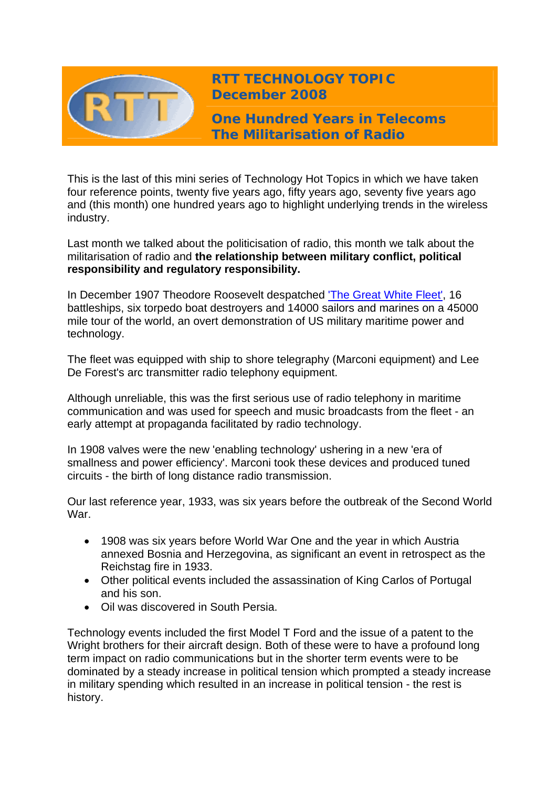

**RTT TECHNOLOGY TOPIC December 2008**

**One Hundred Years in Telecoms The Militarisation of Radio** 

This is the last of this mini series of Technology Hot Topics in which we have taken four reference points, twenty five years ago, fifty years ago, seventy five years ago and (this month) one hundred years ago to highlight underlying trends in the wireless industry.

Last month we talked about the politicisation of radio, this month we talk about the militarisation of radio and **the relationship between military conflict, political responsibility and regulatory responsibility.**

In December 1907 Theodore Roosevelt despatched ['The Great White Fleet'](http://www.presidency.ucsb.edu/fireside.php), 16 battleships, six torpedo boat destroyers and 14000 sailors and marines on a 45000 mile tour of the world, an overt demonstration of US military maritime power and technology.

The fleet was equipped with ship to shore telegraphy (Marconi equipment) and Lee De Forest's arc transmitter radio telephony equipment.

Although unreliable, this was the first serious use of radio telephony in maritime communication and was used for speech and music broadcasts from the fleet - an early attempt at propaganda facilitated by radio technology.

In 1908 valves were the new 'enabling technology' ushering in a new 'era of smallness and power efficiency'. Marconi took these devices and produced tuned circuits - the birth of long distance radio transmission.

Our last reference year, 1933, was six years before the outbreak of the Second World War.

- 1908 was six years before World War One and the year in which Austria annexed Bosnia and Herzegovina, as significant an event in retrospect as the Reichstag fire in 1933.
- Other political events included the assassination of King Carlos of Portugal and his son.
- Oil was discovered in South Persia.

Technology events included the first Model T Ford and the issue of a patent to the Wright brothers for their aircraft design. Both of these were to have a profound long term impact on radio communications but in the shorter term events were to be dominated by a steady increase in political tension which prompted a steady increase in military spending which resulted in an increase in political tension - the rest is history.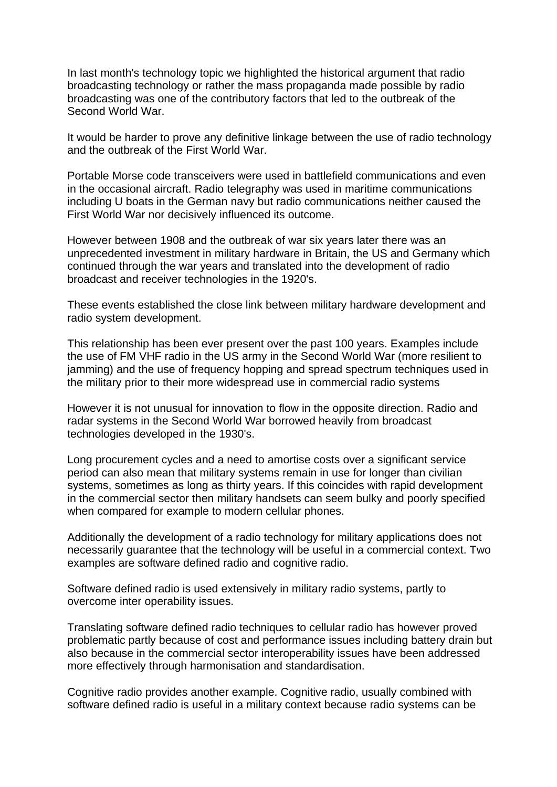In last month's technology topic we highlighted the historical argument that radio broadcasting technology or rather the mass propaganda made possible by radio broadcasting was one of the contributory factors that led to the outbreak of the Second World War.

It would be harder to prove any definitive linkage between the use of radio technology and the outbreak of the First World War.

Portable Morse code transceivers were used in battlefield communications and even in the occasional aircraft. Radio telegraphy was used in maritime communications including U boats in the German navy but radio communications neither caused the First World War nor decisively influenced its outcome.

However between 1908 and the outbreak of war six years later there was an unprecedented investment in military hardware in Britain, the US and Germany which continued through the war years and translated into the development of radio broadcast and receiver technologies in the 1920's.

These events established the close link between military hardware development and radio system development.

This relationship has been ever present over the past 100 years. Examples include the use of FM VHF radio in the US army in the Second World War (more resilient to jamming) and the use of frequency hopping and spread spectrum techniques used in the military prior to their more widespread use in commercial radio systems

However it is not unusual for innovation to flow in the opposite direction. Radio and radar systems in the Second World War borrowed heavily from broadcast technologies developed in the 1930's.

Long procurement cycles and a need to amortise costs over a significant service period can also mean that military systems remain in use for longer than civilian systems, sometimes as long as thirty years. If this coincides with rapid development in the commercial sector then military handsets can seem bulky and poorly specified when compared for example to modern cellular phones.

Additionally the development of a radio technology for military applications does not necessarily guarantee that the technology will be useful in a commercial context. Two examples are software defined radio and cognitive radio.

Software defined radio is used extensively in military radio systems, partly to overcome inter operability issues.

Translating software defined radio techniques to cellular radio has however proved problematic partly because of cost and performance issues including battery drain but also because in the commercial sector interoperability issues have been addressed more effectively through harmonisation and standardisation.

Cognitive radio provides another example. Cognitive radio, usually combined with software defined radio is useful in a military context because radio systems can be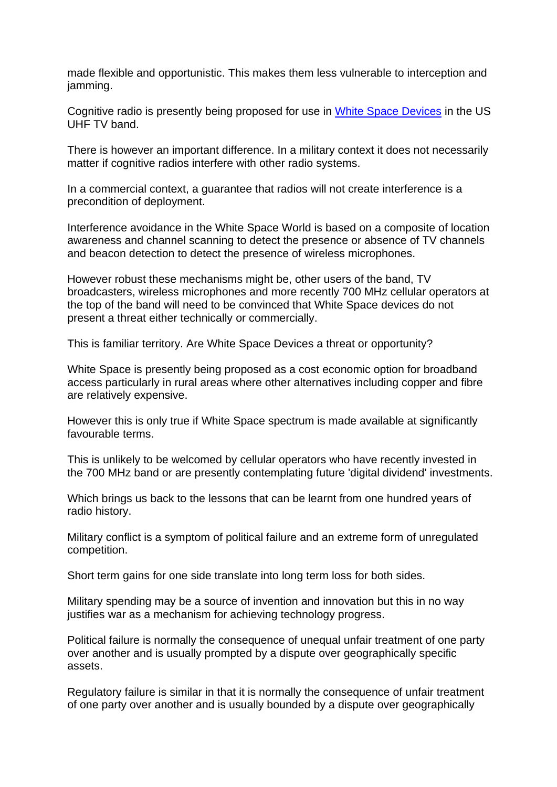made flexible and opportunistic. This makes them less vulnerable to interception and jamming.

Cognitive radio is presently being proposed for use in [White Space Devices](http://www.wirelessinnovationalliance.com/index.cfm) in the US UHF TV band.

There is however an important difference. In a military context it does not necessarily matter if cognitive radios interfere with other radio systems.

In a commercial context, a guarantee that radios will not create interference is a precondition of deployment.

Interference avoidance in the White Space World is based on a composite of location awareness and channel scanning to detect the presence or absence of TV channels and beacon detection to detect the presence of wireless microphones.

However robust these mechanisms might be, other users of the band, TV broadcasters, wireless microphones and more recently 700 MHz cellular operators at the top of the band will need to be convinced that White Space devices do not present a threat either technically or commercially.

This is familiar territory. Are White Space Devices a threat or opportunity?

White Space is presently being proposed as a cost economic option for broadband access particularly in rural areas where other alternatives including copper and fibre are relatively expensive.

However this is only true if White Space spectrum is made available at significantly favourable terms.

This is unlikely to be welcomed by cellular operators who have recently invested in the 700 MHz band or are presently contemplating future 'digital dividend' investments.

Which brings us back to the lessons that can be learnt from one hundred years of radio history.

Military conflict is a symptom of political failure and an extreme form of unregulated competition.

Short term gains for one side translate into long term loss for both sides.

Military spending may be a source of invention and innovation but this in no way justifies war as a mechanism for achieving technology progress.

Political failure is normally the consequence of unequal unfair treatment of one party over another and is usually prompted by a dispute over geographically specific assets.

Regulatory failure is similar in that it is normally the consequence of unfair treatment of one party over another and is usually bounded by a dispute over geographically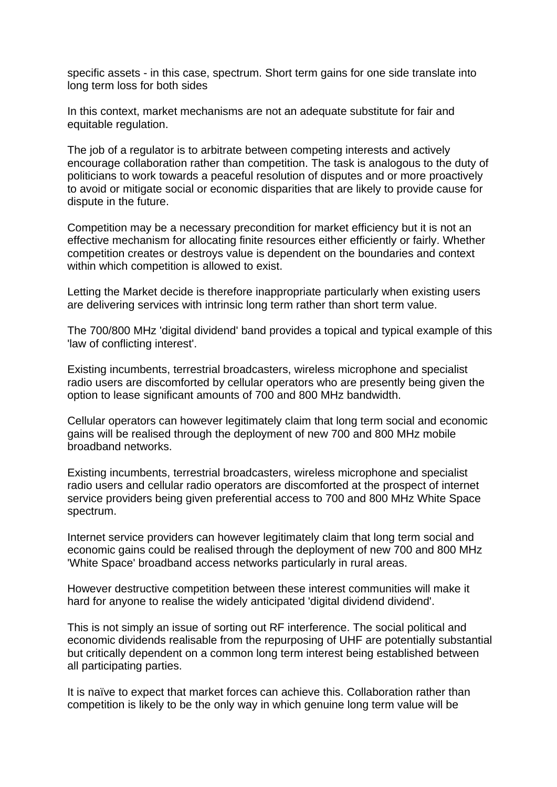specific assets - in this case, spectrum. Short term gains for one side translate into long term loss for both sides

In this context, market mechanisms are not an adequate substitute for fair and equitable regulation.

The job of a regulator is to arbitrate between competing interests and actively encourage collaboration rather than competition. The task is analogous to the duty of politicians to work towards a peaceful resolution of disputes and or more proactively to avoid or mitigate social or economic disparities that are likely to provide cause for dispute in the future.

Competition may be a necessary precondition for market efficiency but it is not an effective mechanism for allocating finite resources either efficiently or fairly. Whether competition creates or destroys value is dependent on the boundaries and context within which competition is allowed to exist.

Letting the Market decide is therefore inappropriate particularly when existing users are delivering services with intrinsic long term rather than short term value.

The 700/800 MHz 'digital dividend' band provides a topical and typical example of this 'law of conflicting interest'.

Existing incumbents, terrestrial broadcasters, wireless microphone and specialist radio users are discomforted by cellular operators who are presently being given the option to lease significant amounts of 700 and 800 MHz bandwidth.

Cellular operators can however legitimately claim that long term social and economic gains will be realised through the deployment of new 700 and 800 MHz mobile broadband networks.

Existing incumbents, terrestrial broadcasters, wireless microphone and specialist radio users and cellular radio operators are discomforted at the prospect of internet service providers being given preferential access to 700 and 800 MHz White Space spectrum.

Internet service providers can however legitimately claim that long term social and economic gains could be realised through the deployment of new 700 and 800 MHz 'White Space' broadband access networks particularly in rural areas.

However destructive competition between these interest communities will make it hard for anyone to realise the widely anticipated 'digital dividend dividend'.

This is not simply an issue of sorting out RF interference. The social political and economic dividends realisable from the repurposing of UHF are potentially substantial but critically dependent on a common long term interest being established between all participating parties.

It is naïve to expect that market forces can achieve this. Collaboration rather than competition is likely to be the only way in which genuine long term value will be